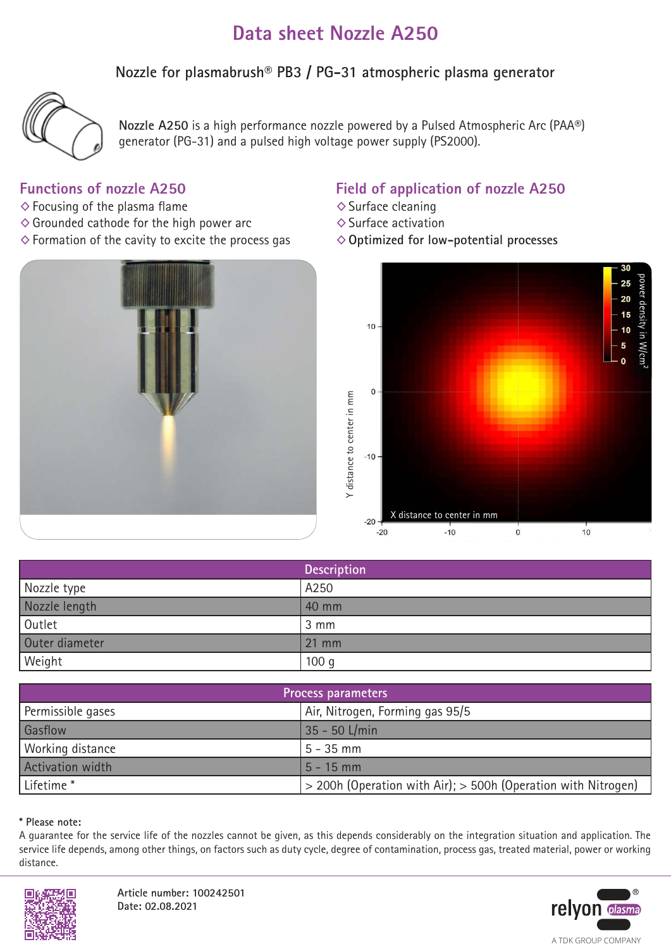# **Data sheet Nozzle A250**

**Nozzle for plasmabrush® PB3 / PG-31 atmospheric plasma generator**



**Nozzle A250** is a high performance nozzle powered by a Pulsed Atmospheric Arc (PAA®) generator (PG-31) and a pulsed high voltage power supply (PS2000).

## **Functions of nozzle A250**

- $\diamond$  Focusing of the plasma flame
- $\diamond$  Grounded cathode for the high power arc
- $\diamond$  Formation of the cavity to excite the process gas



# **Field of application of nozzle A250**

- ◊Surface cleaning
- ◊Surface activation
- ◊**Optimized for low-potential processes**



|                | <b>Description</b> |
|----------------|--------------------|
| Nozzle type    | A250               |
| Nozzle length  | 40 mm              |
| Outlet         | 3 mm               |
| Outer diameter | 21 mm              |
| Weight         | 100 <sub>g</sub>   |

| Process parameters    |                                                                   |
|-----------------------|-------------------------------------------------------------------|
| Permissible gases     | Air, Nitrogen, Forming gas 95/5                                   |
| Gasflow               | 35 - 50 L/min                                                     |
| Working distance      | $5 - 35$ mm                                                       |
| Activation width      | $5 - 15$ mm                                                       |
| Lifetime <sup>*</sup> | $>$ 200h (Operation with Air); $>$ 500h (Operation with Nitrogen) |

### **\* Please note:**

A guarantee for the service life of the nozzles cannot be given, as this depends considerably on the integration situation and application. The service life depends, among other things, on factors such as duty cycle, degree of contamination, process gas, treated material, power or working distance.